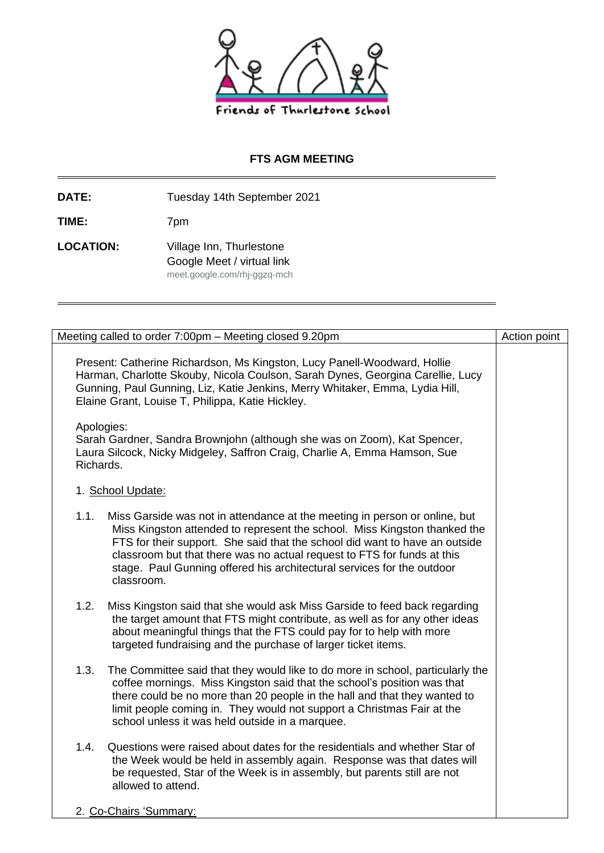

## **FTS AGM MEETING**

**DATE:** Tuesday 14th September 2021

**TIME:** 7pm

LOCATION: Village Inn, Thurlestone Google Meet / virtual link meet.google.com/rhj-ggzq-mch

| Meeting called to order 7:00pm - Meeting closed 9.20pm                                                                                                                                                                                                                                                                                                                                                            | Action point |
|-------------------------------------------------------------------------------------------------------------------------------------------------------------------------------------------------------------------------------------------------------------------------------------------------------------------------------------------------------------------------------------------------------------------|--------------|
| Present: Catherine Richardson, Ms Kingston, Lucy Panell-Woodward, Hollie<br>Harman, Charlotte Skouby, Nicola Coulson, Sarah Dynes, Georgina Carellie, Lucy<br>Gunning, Paul Gunning, Liz, Katie Jenkins, Merry Whitaker, Emma, Lydia Hill,<br>Elaine Grant, Louise T, Philippa, Katie Hickley.                                                                                                                    |              |
| Apologies:<br>Sarah Gardner, Sandra Brownjohn (although she was on Zoom), Kat Spencer,<br>Laura Silcock, Nicky Midgeley, Saffron Craig, Charlie A, Emma Hamson, Sue<br>Richards.                                                                                                                                                                                                                                  |              |
| 1. School Update:                                                                                                                                                                                                                                                                                                                                                                                                 |              |
| 1.1.<br>Miss Garside was not in attendance at the meeting in person or online, but<br>Miss Kingston attended to represent the school. Miss Kingston thanked the<br>FTS for their support. She said that the school did want to have an outside<br>classroom but that there was no actual request to FTS for funds at this<br>stage. Paul Gunning offered his architectural services for the outdoor<br>classroom. |              |
| 1.2.<br>Miss Kingston said that she would ask Miss Garside to feed back regarding<br>the target amount that FTS might contribute, as well as for any other ideas<br>about meaningful things that the FTS could pay for to help with more<br>targeted fundraising and the purchase of larger ticket items.                                                                                                         |              |
| 1.3.<br>The Committee said that they would like to do more in school, particularly the<br>coffee mornings. Miss Kingston said that the school's position was that<br>there could be no more than 20 people in the hall and that they wanted to<br>limit people coming in. They would not support a Christmas Fair at the<br>school unless it was held outside in a marquee.                                       |              |
| 1.4.<br>Questions were raised about dates for the residentials and whether Star of<br>the Week would be held in assembly again. Response was that dates will<br>be requested, Star of the Week is in assembly, but parents still are not<br>allowed to attend.                                                                                                                                                    |              |
| 2. Co-Chairs 'Summary:                                                                                                                                                                                                                                                                                                                                                                                            |              |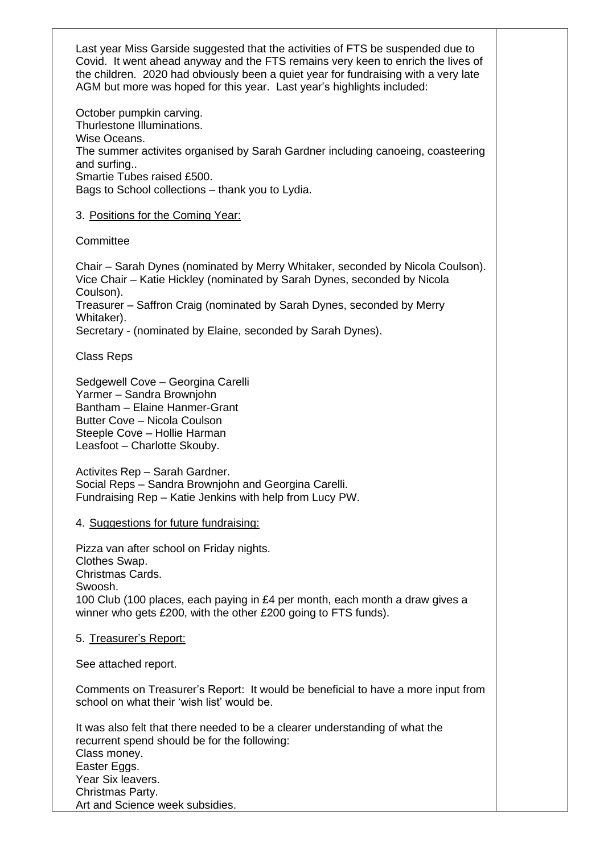Last year Miss Garside suggested that the activities of FTS be suspended due to Covid. It went ahead anyway and the FTS remains very keen to enrich the lives of the children. 2020 had obviously been a quiet year for fundraising with a very late AGM but more was hoped for this year. Last year's highlights included:

October pumpkin carving. Thurlestone Illuminations. Wise Oceans. The summer activites organised by Sarah Gardner including canoeing, coasteering and surfing.. Smartie Tubes raised £500. Bags to School collections – thank you to Lydia.

3. Positions for the Coming Year:

**Committee** 

Chair – Sarah Dynes (nominated by Merry Whitaker, seconded by Nicola Coulson). Vice Chair – Katie Hickley (nominated by Sarah Dynes, seconded by Nicola Coulson).

Treasurer – Saffron Craig (nominated by Sarah Dynes, seconded by Merry Whitaker).

Secretary - (nominated by Elaine, seconded by Sarah Dynes).

Class Reps

Sedgewell Cove – Georgina Carelli Yarmer – Sandra Brownjohn Bantham – Elaine Hanmer-Grant Butter Cove – Nicola Coulson Steeple Cove – Hollie Harman Leasfoot – Charlotte Skouby.

Activites Rep – Sarah Gardner. Social Reps – Sandra Brownjohn and Georgina Carelli. Fundraising Rep – Katie Jenkins with help from Lucy PW.

4. Suggestions for future fundraising:

Pizza van after school on Friday nights. Clothes Swap. Christmas Cards. Swoosh. 100 Club (100 places, each paying in £4 per month, each month a draw gives a winner who gets £200, with the other £200 going to FTS funds).

5. Treasurer's Report:

See attached report.

Comments on Treasurer's Report: It would be beneficial to have a more input from school on what their 'wish list' would be.

It was also felt that there needed to be a clearer understanding of what the recurrent spend should be for the following: Class money. Easter Eggs. Year Six leavers. Christmas Party. Art and Science week subsidies.